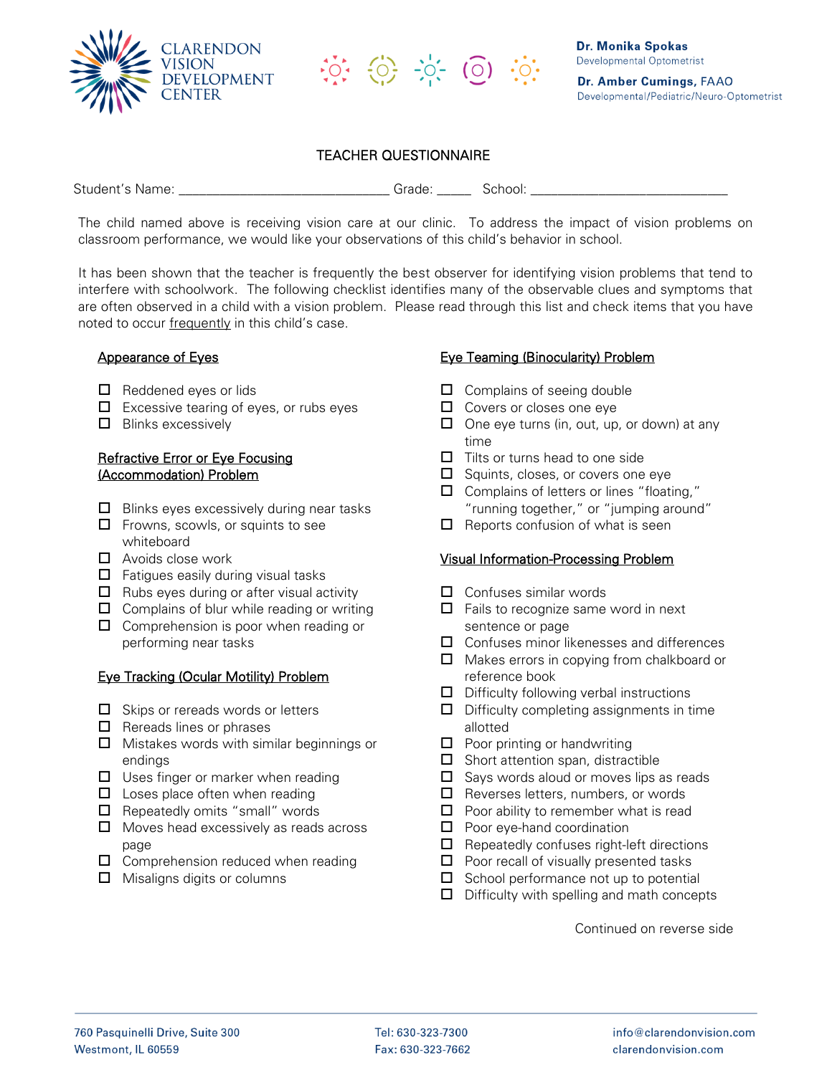



# TEACHER QUESTIONNAIRE

Student's Name: \_\_\_\_\_\_\_\_\_\_\_\_\_\_\_\_\_\_\_\_\_\_\_\_\_\_\_\_\_\_\_ Grade: \_\_\_\_\_ School: \_\_\_\_\_\_\_\_\_\_\_\_\_\_\_\_\_\_\_\_\_\_\_\_\_\_\_\_\_

The child named above is receiving vision care at our clinic. To address the impact of vision problems on classroom performance, we would like your observations of this child's behavior in school.

It has been shown that the teacher is frequently the best observer for identifying vision problems that tend to interfere with schoolwork. The following checklist identifies many of the observable clues and symptoms that are often observed in a child with a vision problem. Please read through this list and check items that you have noted to occur frequently in this child's case.

#### Appearance of Eyes

- $\Box$  Reddened eves or lids
- $\Box$  Excessive tearing of eyes, or rubs eyes
- $\Box$  Blinks excessively

### Refractive Error or Eye Focusing (Accommodation) Problem

- $\Box$  Blinks eyes excessively during near tasks
- $\Box$  Frowns, scowls, or squints to see whiteboard
- $\Box$  Avoids close work
- $\Box$  Fatigues easily during visual tasks
- $\Box$  Rubs eyes during or after visual activity
- $\Box$  Complains of blur while reading or writing
- $\Box$  Comprehension is poor when reading or performing near tasks

#### Eye Tracking (Ocular Motility) Problem

- $\Box$  Skips or rereads words or letters
- $\Box$  Rereads lines or phrases
- $\Box$  Mistakes words with similar beginnings or endings
- $\Box$  Uses finger or marker when reading
- $\Box$  Loses place often when reading
- $\Box$  Repeatedly omits "small" words
- $\Box$  Moves head excessively as reads across page
- $\Box$  Comprehension reduced when reading
- $\Box$  Misaligns digits or columns

## Eye Teaming (Binocularity) Problem

- $\Box$  Complains of seeing double
- $\Box$  Covers or closes one eye
- $\Box$  One eye turns (in, out, up, or down) at any time
- $\Box$  Tilts or turns head to one side
- $\Box$  Squints, closes, or covers one eye
- $\Box$  Complains of letters or lines "floating," "running together," or "jumping around"
- $\Box$  Reports confusion of what is seen

#### Visual Information-Processing Problem

- $\Box$  Confuses similar words
- $\Box$  Fails to recognize same word in next sentence or page
- $\Box$  Confuses minor likenesses and differences
- $\Box$  Makes errors in copying from chalkboard or reference book
- $\Box$  Difficulty following verbal instructions
- $\Box$  Difficulty completing assignments in time allotted
- $\Box$  Poor printing or handwriting
- $\Box$  Short attention span, distractible
- $\Box$  Says words aloud or moves lips as reads
- $\Box$  Reverses letters, numbers, or words
- $\Box$  Poor ability to remember what is read
- $\Box$  Poor eye-hand coordination
- $\Box$  Repeatedly confuses right-left directions
- $\Box$  Poor recall of visually presented tasks
- $\square$  School performance not up to potential
- $\Box$  Difficulty with spelling and math concepts

Continued on reverse side